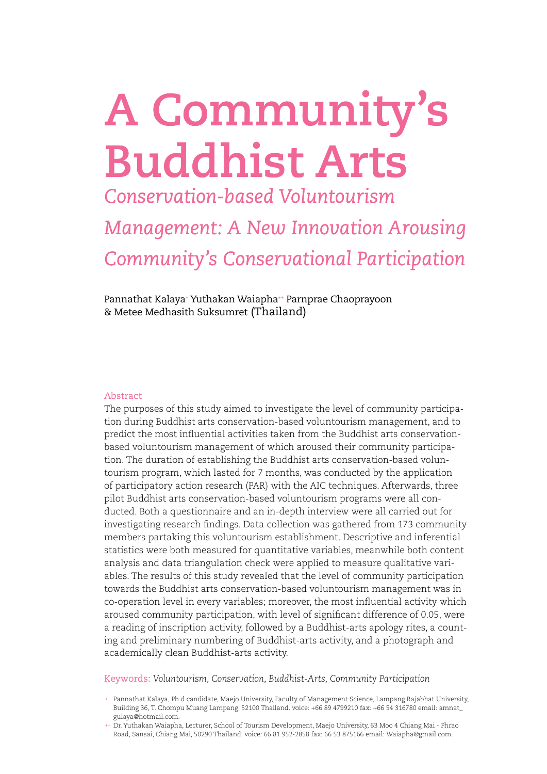# **A Community's Buddhist Arts**

*Conservation-based Voluntourism* 

*Management: A New Innovation Arousing Community's Conservational Participation* 

Pannathat Kalaya† Yuthakan Waiapha# Parnprae Chaoprayoon-& Metee Medhasith Suksumret (Thailand)

#### Abstract

The purposes of this study aimed to investigate the level of community participation during Buddhist arts conservation-based voluntourism management, and to predict the most influential activities taken from the Buddhist arts conservationbased voluntourism management of which aroused their community participation. The duration of establishing the Buddhist arts conservation-based voluntourism program, which lasted for 7 months, was conducted by the application of participatory action research (PAR) with the AIC techniques. Afterwards, three pilot Buddhist arts conservation-based voluntourism programs were all conducted. Both a questionnaire and an in-depth interview were all carried out for investigating research findings. Data collection was gathered from 173 community members partaking this voluntourism establishment. Descriptive and inferential statistics were both measured for quantitative variables, meanwhile both content analysis and data triangulation check were applied to measure qualitative variables. The results of this study revealed that the level of community participation towards the Buddhist arts conservation-based voluntourism management was in co-operation level in every variables; moreover, the most influential activity which aroused community participation, with level of significant difference of 0.05, were a reading of inscription activity, followed by a Buddhist-arts apology rites, a counting and preliminary numbering of Buddhist-arts activity, and a photograph and academically clean Buddhist-arts activity.

Keywords: *Voluntourism, Conservation, Buddhist-Arts, Community Participation* 

- + Pannathat Kalaya, Ph.d candidate, Maejo University, Faculty of Management Science, Lampang Rajabhat University, Building 36, T. Chompu Muang Lampang, 52100 Thailand. voice: +66 89 4799210 fax: +66 54 316780 email: amnat\_ gulaya@hotmail.com.
- ++ Dr. Yuthakan Waiapha, Lecturer, School of Tourism Development, Maejo University, 63 Moo 4 Chiang Mai Phrao Road, Sansai, Chiang Mai, 50290 Thailand. voice: 66 81 952-2858 fax: 66 53 875166 email: Waiapha@gmail.com.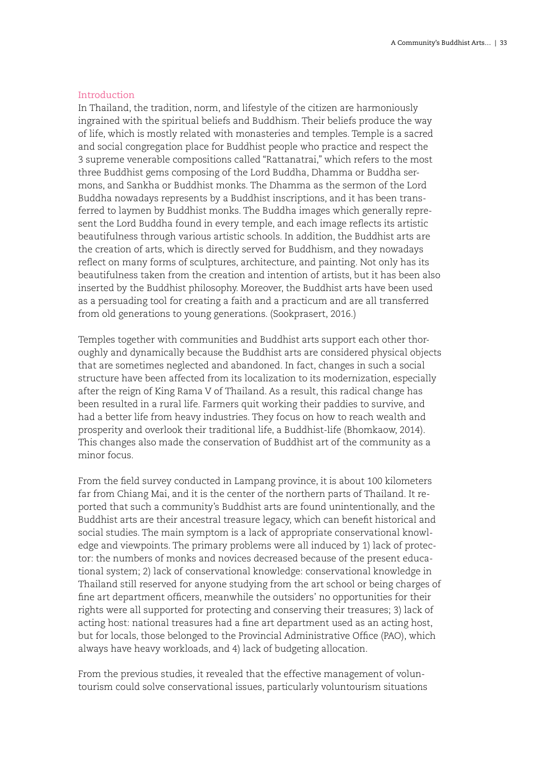# Introduction

In Thailand, the tradition, norm, and lifestyle of the citizen are harmoniously ingrained with the spiritual beliefs and Buddhism. Their beliefs produce the way of life, which is mostly related with monasteries and temples. Temple is a sacred and social congregation place for Buddhist people who practice and respect the 3 supreme venerable compositions called "Rattanatrai," which refers to the most three Buddhist gems composing of the Lord Buddha, Dhamma or Buddha sermons, and Sankha or Buddhist monks. The Dhamma as the sermon of the Lord Buddha nowadays represents by a Buddhist inscriptions, and it has been transferred to laymen by Buddhist monks. The Buddha images which generally represent the Lord Buddha found in every temple, and each image reflects its artistic beautifulness through various artistic schools. In addition, the Buddhist arts are the creation of arts, which is directly served for Buddhism, and they nowadays reflect on many forms of sculptures, architecture, and painting. Not only has its beautifulness taken from the creation and intention of artists, but it has been also inserted by the Buddhist philosophy. Moreover, the Buddhist arts have been used as a persuading tool for creating a faith and a practicum and are all transferred from old generations to young generations. (Sookprasert, 2016.)

Temples together with communities and Buddhist arts support each other thoroughly and dynamically because the Buddhist arts are considered physical objects that are sometimes neglected and abandoned. In fact, changes in such a social structure have been affected from its localization to its modernization, especially after the reign of King Rama V of Thailand. As a result, this radical change has been resulted in a rural life. Farmers quit working their paddies to survive, and had a better life from heavy industries. They focus on how to reach wealth and prosperity and overlook their traditional life, a Buddhist-life (Bhomkaow, 2014). This changes also made the conservation of Buddhist art of the community as a minor focus.

From the field survey conducted in Lampang province, it is about 100 kilometers far from Chiang Mai, and it is the center of the northern parts of Thailand. It reported that such a community's Buddhist arts are found unintentionally, and the Buddhist arts are their ancestral treasure legacy, which can benefit historical and social studies. The main symptom is a lack of appropriate conservational knowledge and viewpoints. The primary problems were all induced by 1) lack of protector: the numbers of monks and novices decreased because of the present educational system; 2) lack of conservational knowledge: conservational knowledge in Thailand still reserved for anyone studying from the art school or being charges of fine art department officers, meanwhile the outsiders' no opportunities for their rights were all supported for protecting and conserving their treasures; 3) lack of acting host: national treasures had a fine art department used as an acting host, but for locals, those belonged to the Provincial Administrative Office (PAO), which always have heavy workloads, and 4) lack of budgeting allocation.

From the previous studies, it revealed that the effective management of voluntourism could solve conservational issues, particularly voluntourism situations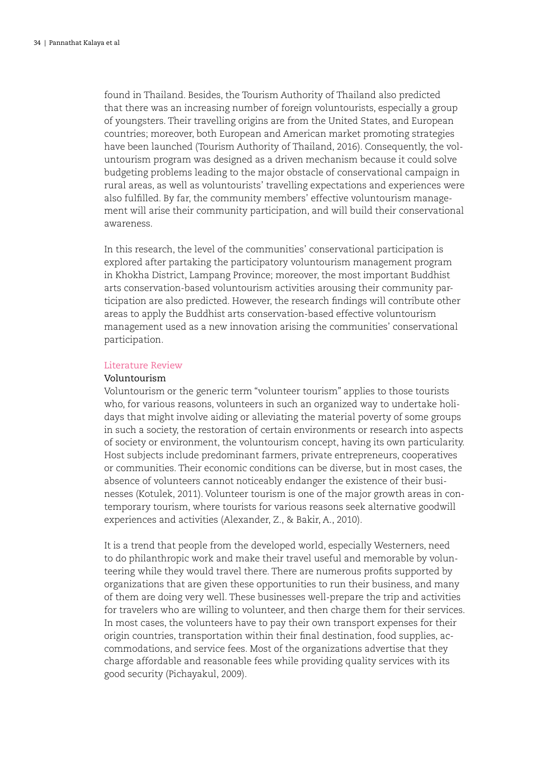found in Thailand. Besides, the Tourism Authority of Thailand also predicted that there was an increasing number of foreign voluntourists, especially a group of youngsters. Their travelling origins are from the United States, and European countries; moreover, both European and American market promoting strategies have been launched (Tourism Authority of Thailand, 2016). Consequently, the voluntourism program was designed as a driven mechanism because it could solve budgeting problems leading to the major obstacle of conservational campaign in rural areas, as well as voluntourists' travelling expectations and experiences were also fulfilled. By far, the community members' effective voluntourism management will arise their community participation, and will build their conservational awareness.

In this research, the level of the communities' conservational participation is explored after partaking the participatory voluntourism management program in Khokha District, Lampang Province; moreover, the most important Buddhist arts conservation-based voluntourism activities arousing their community participation are also predicted. However, the research findings will contribute other areas to apply the Buddhist arts conservation-based effective voluntourism management used as a new innovation arising the communities' conservational participation.

#### Literature Review

#### Voluntourism

Voluntourism or the generic term "volunteer tourism" applies to those tourists who, for various reasons, volunteers in such an organized way to undertake holidays that might involve aiding or alleviating the material poverty of some groups in such a society, the restoration of certain environments or research into aspects of society or environment, the voluntourism concept, having its own particularity. Host subjects include predominant farmers, private entrepreneurs, cooperatives or communities. Their economic conditions can be diverse, but in most cases, the absence of volunteers cannot noticeably endanger the existence of their businesses (Kotulek, 2011). Volunteer tourism is one of the major growth areas in contemporary tourism, where tourists for various reasons seek alternative goodwill experiences and activities (Alexander, Z., & Bakir, A., 2010).

It is a trend that people from the developed world, especially Westerners, need to do philanthropic work and make their travel useful and memorable by volunteering while they would travel there. There are numerous profits supported by organizations that are given these opportunities to run their business, and many of them are doing very well. These businesses well-prepare the trip and activities for travelers who are willing to volunteer, and then charge them for their services. In most cases, the volunteers have to pay their own transport expenses for their origin countries, transportation within their final destination, food supplies, accommodations, and service fees. Most of the organizations advertise that they charge affordable and reasonable fees while providing quality services with its good security (Pichayakul, 2009).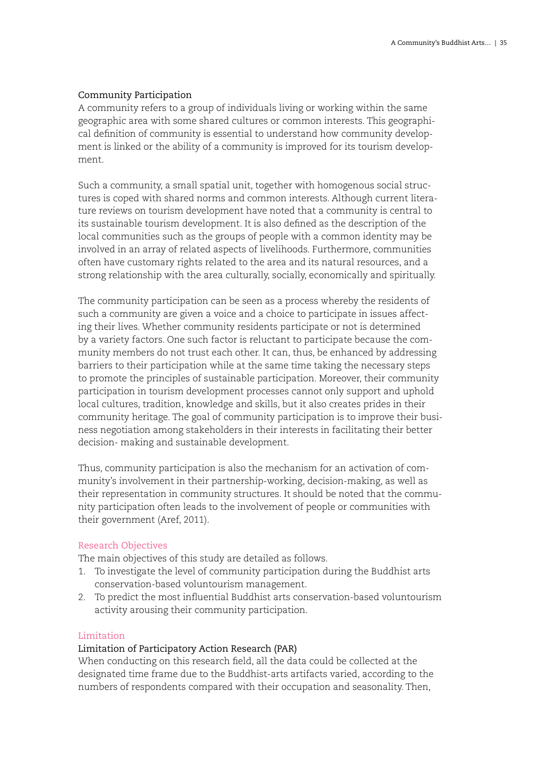# Community Participation

A community refers to a group of individuals living or working within the same geographic area with some shared cultures or common interests. This geographical definition of community is essential to understand how community development is linked or the ability of a community is improved for its tourism development.

Such a community, a small spatial unit, together with homogenous social structures is coped with shared norms and common interests. Although current literature reviews on tourism development have noted that a community is central to its sustainable tourism development. It is also defined as the description of the local communities such as the groups of people with a common identity may be involved in an array of related aspects of livelihoods. Furthermore, communities often have customary rights related to the area and its natural resources, and a strong relationship with the area culturally, socially, economically and spiritually.

The community participation can be seen as a process whereby the residents of such a community are given a voice and a choice to participate in issues affecting their lives. Whether community residents participate or not is determined by a variety factors. One such factor is reluctant to participate because the community members do not trust each other. It can, thus, be enhanced by addressing barriers to their participation while at the same time taking the necessary steps to promote the principles of sustainable participation. Moreover, their community participation in tourism development processes cannot only support and uphold local cultures, tradition, knowledge and skills, but it also creates prides in their community heritage. The goal of community participation is to improve their business negotiation among stakeholders in their interests in facilitating their better decision- making and sustainable development.

Thus, community participation is also the mechanism for an activation of community's involvement in their partnership-working, decision-making, as well as their representation in community structures. It should be noted that the community participation often leads to the involvement of people or communities with their government (Aref, 2011).

# Research Objectives

The main objectives of this study are detailed as follows.

- 1. To investigate the level of community participation during the Buddhist arts conservation-based voluntourism management.
- 2. To predict the most influential Buddhist arts conservation-based voluntourism activity arousing their community participation.

# Limitation

# Limitation of Participatory Action Research (PAR)

When conducting on this research field, all the data could be collected at the designated time frame due to the Buddhist-arts artifacts varied, according to the numbers of respondents compared with their occupation and seasonality. Then,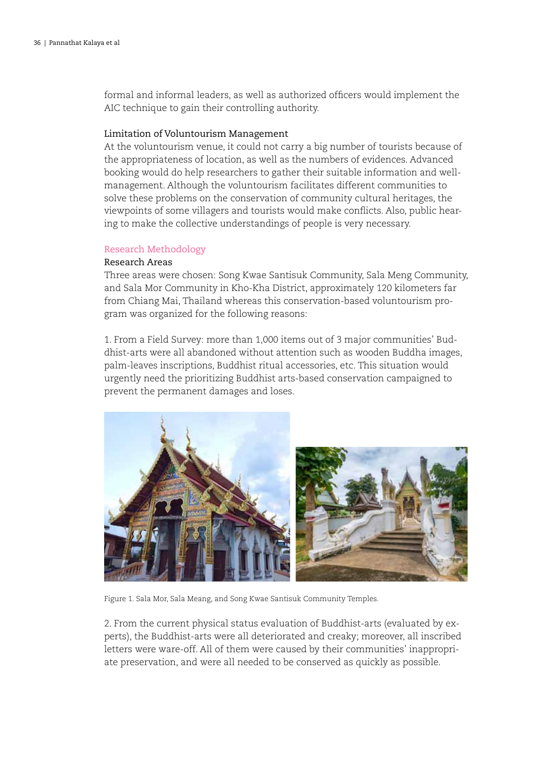formal and informal leaders, as well as authorized officers would implement the AIC technique to gain their controlling authority.

#### Limitation of Voluntourism Management

At the voluntourism venue, it could not carry a big number of tourists because of the appropriateness of location, as well as the numbers of evidences. Advanced booking would do help researchers to gather their suitable information and wellmanagement. Although the voluntourism facilitates different communities to solve these problems on the conservation of community cultural heritages, the viewpoints of some villagers and tourists would make conflicts. Also, public hearing to make the collective understandings of people is very necessary.

#### Research Methodology

#### Research Areas

Three areas were chosen: Song Kwae Santisuk Community, Sala Meng Community, and Sala Mor Community in Kho-Kha District, approximately 120 kilometers far from Chiang Mai, Thailand whereas this conservation-based voluntourism program was organized for the following reasons:

1. From a Field Survey: more than 1,000 items out of 3 major communities' Buddhist-arts were all abandoned without attention such as wooden Buddha images, palm-leaves inscriptions, Buddhist ritual accessories, etc. This situation would urgently need the prioritizing Buddhist arts-based conservation campaigned to prevent the permanent damages and loses.



Figure 1. Sala Mor, Sala Meang, and Song Kwae Santisuk Community Temples.

2. From the current physical status evaluation of Buddhist-arts (evaluated by experts), the Buddhist-arts were all deteriorated and creaky; moreover, all inscribed letters were ware-off. All of them were caused by their communities' inappropriate preservation, and were all needed to be conserved as quickly as possible.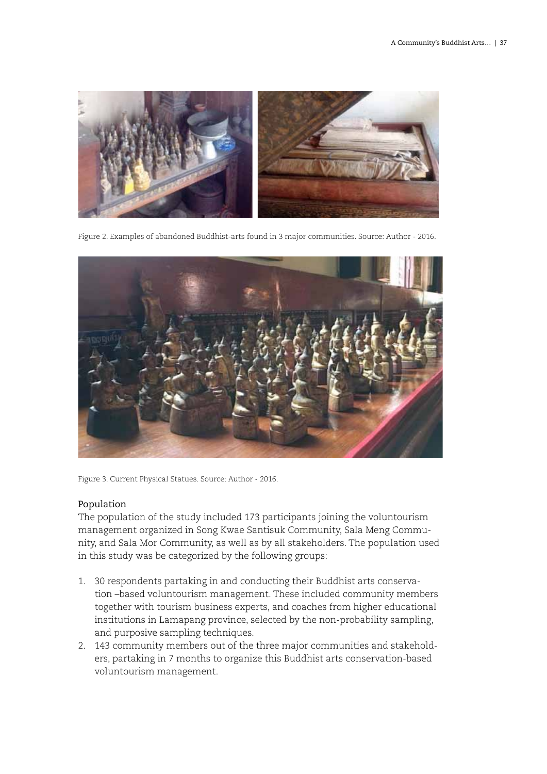

Figure 2. Examples of abandoned Buddhist-arts found in 3 major communities. Source: Author - 2016.



Figure 3. Current Physical Statues. Source: Author - 2016.

# Population

The population of the study included 173 participants joining the voluntourism management organized in Song Kwae Santisuk Community, Sala Meng Community, and Sala Mor Community, as well as by all stakeholders. The population used in this study was be categorized by the following groups:

- 1. 30 respondents partaking in and conducting their Buddhist arts conservation –based voluntourism management. These included community members together with tourism business experts, and coaches from higher educational institutions in Lamapang province, selected by the non-probability sampling, and purposive sampling techniques.
- 2. 143 community members out of the three major communities and stakeholders, partaking in 7 months to organize this Buddhist arts conservation-based voluntourism management.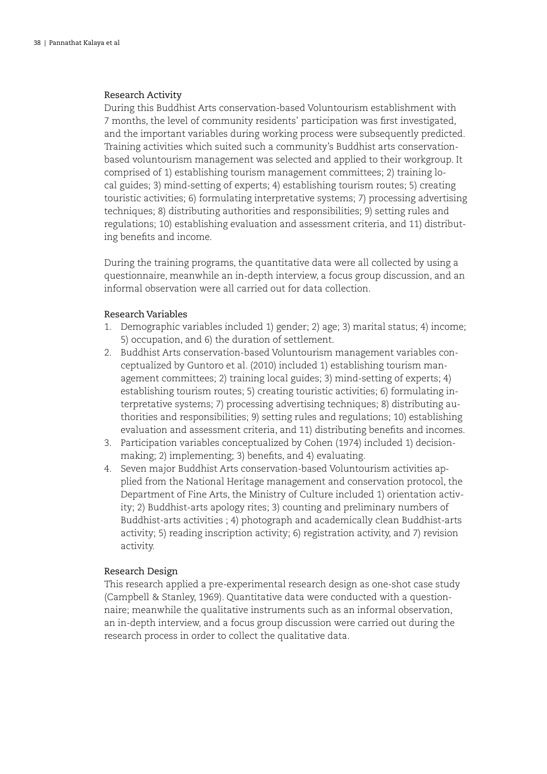# Research Activity

During this Buddhist Arts conservation-based Voluntourism establishment with 7 months, the level of community residents' participation was first investigated, and the important variables during working process were subsequently predicted. Training activities which suited such a community's Buddhist arts conservationbased voluntourism management was selected and applied to their workgroup. It comprised of 1) establishing tourism management committees; 2) training local guides; 3) mind-setting of experts; 4) establishing tourism routes; 5) creating touristic activities; 6) formulating interpretative systems; 7) processing advertising techniques; 8) distributing authorities and responsibilities; 9) setting rules and regulations; 10) establishing evaluation and assessment criteria, and 11) distributing benefits and income.

During the training programs, the quantitative data were all collected by using a questionnaire, meanwhile an in-depth interview, a focus group discussion, and an informal observation were all carried out for data collection.

# Research Variables

- 1. Demographic variables included 1) gender; 2) age; 3) marital status; 4) income; 5) occupation, and 6) the duration of settlement.
- 2. Buddhist Arts conservation-based Voluntourism management variables conceptualized by Guntoro et al. (2010) included 1) establishing tourism management committees; 2) training local guides; 3) mind-setting of experts; 4) establishing tourism routes; 5) creating touristic activities; 6) formulating interpretative systems; 7) processing advertising techniques; 8) distributing authorities and responsibilities; 9) setting rules and regulations; 10) establishing evaluation and assessment criteria, and 11) distributing benefits and incomes.
- 3. Participation variables conceptualized by Cohen (1974) included 1) decisionmaking; 2) implementing; 3) benefits, and 4) evaluating.
- 4. Seven major Buddhist Arts conservation-based Voluntourism activities applied from the National Heritage management and conservation protocol, the Department of Fine Arts, the Ministry of Culture included 1) orientation activity; 2) Buddhist-arts apology rites; 3) counting and preliminary numbers of Buddhist-arts activities ; 4) photograph and academically clean Buddhist-arts activity; 5) reading inscription activity; 6) registration activity, and 7) revision activity.

# Research Design

This research applied a pre-experimental research design as one-shot case study (Campbell & Stanley, 1969). Quantitative data were conducted with a questionnaire; meanwhile the qualitative instruments such as an informal observation, an in-depth interview, and a focus group discussion were carried out during the research process in order to collect the qualitative data.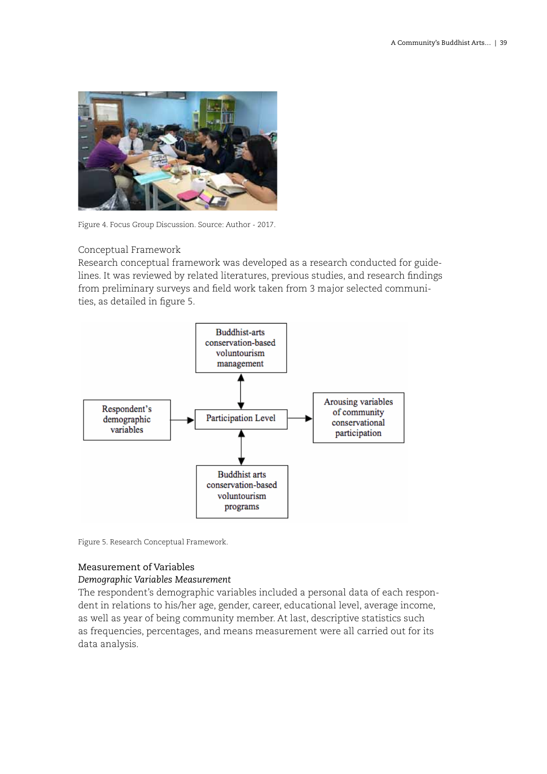

Figure 4. Focus Group Discussion. Source: Author - 2017.

# Conceptual Framework

Research conceptual framework was developed as a research conducted for guidelines. It was reviewed by related literatures, previous studies, and research findings from preliminary surveys and field work taken from 3 major selected communities, as detailed in figure 5.



Figure 5. Research Conceptual Framework.

# Measurement of Variables

# *Demographic Variables Measurement*

The respondent's demographic variables included a personal data of each respondent in relations to his/her age, gender, career, educational level, average income, as well as year of being community member. At last, descriptive statistics such as frequencies, percentages, and means measurement were all carried out for its data analysis.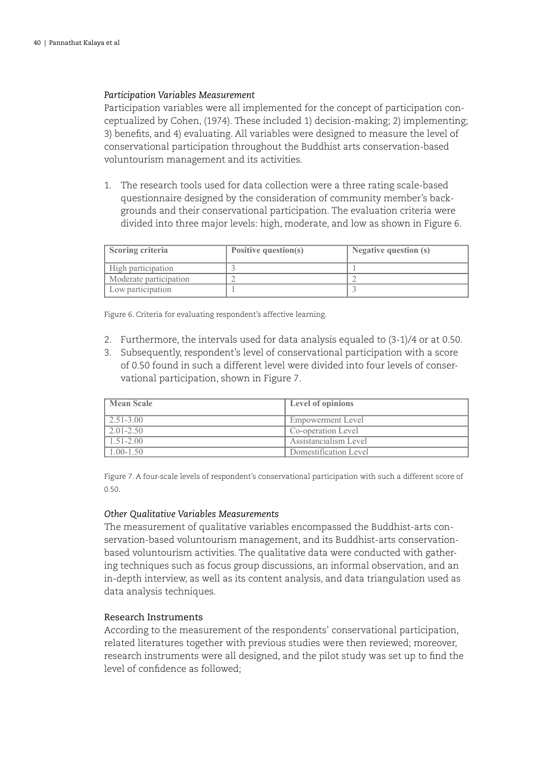#### *Participation Variables Measurement*

Participation variables were all implemented for the concept of participation conceptualized by Cohen, (1974). These included 1) decision-making; 2) implementing; 3) benefits, and 4) evaluating. All variables were designed to measure the level of conservational participation throughout the Buddhist arts conservation-based voluntourism management and its activities.

1. The research tools used for data collection were a three rating scale-based questionnaire designed by the consideration of community member's backgrounds and their conservational participation. The evaluation criteria were divided into three major levels: high, moderate, and low as shown in Figure 6.

| Scoring criteria       | Positive question(s) | Negative question (s) |
|------------------------|----------------------|-----------------------|
| High participation     |                      |                       |
| Moderate participation |                      |                       |
| Low participation      |                      |                       |

Figure 6. Criteria for evaluating respondent's affective learning.

- 2. Furthermore, the intervals used for data analysis equaled to (3-1)/4 or at 0.50.
- 3. Subsequently, respondent's level of conservational participation with a score of 0.50 found in such a different level were divided into four levels of conservational participation, shown in Figure 7.

| Mean Scale       | <b>Level of opinions</b> |
|------------------|--------------------------|
| $\mid$ 2.51-3.00 | Empowerment Level        |
| $2.01 - 2.50$    | Co-operation Level       |
| $1.51 - 2.00$    | Assistancialism Level    |
| $1.00 - 1.50$    | Domestification Level    |

Figure 7. A four-scale levels of respondent's conservational participation with such a different score of 0.50.

#### *Other Qualitative Variables Measurements*

The measurement of qualitative variables encompassed the Buddhist-arts conservation-based voluntourism management, and its Buddhist-arts conservationbased voluntourism activities. The qualitative data were conducted with gathering techniques such as focus group discussions, an informal observation, and an in-depth interview, as well as its content analysis, and data triangulation used as data analysis techniques.

# Research Instruments

According to the measurement of the respondents' conservational participation, related literatures together with previous studies were then reviewed; moreover, research instruments were all designed, and the pilot study was set up to find the level of confidence as followed;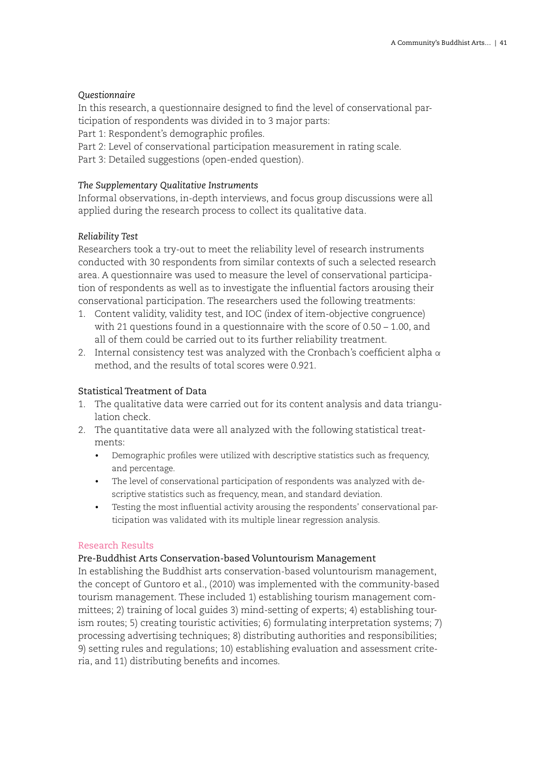# *Questionnaire*

In this research, a questionnaire designed to find the level of conservational participation of respondents was divided in to 3 major parts:

Part 1: Respondent's demographic profiles.

Part 2: Level of conservational participation measurement in rating scale.

Part 3: Detailed suggestions (open-ended question).

# *The Supplementary Qualitative Instruments*

Informal observations, in-depth interviews, and focus group discussions were all applied during the research process to collect its qualitative data.

# *Reliability Test*

Researchers took a try-out to meet the reliability level of research instruments conducted with 30 respondents from similar contexts of such a selected research area. A questionnaire was used to measure the level of conservational participation of respondents as well as to investigate the influential factors arousing their conservational participation. The researchers used the following treatments:

- 1. Content validity, validity test, and IOC (index of item-objective congruence) with 21 questions found in a questionnaire with the score of 0.50 – 1.00, and all of them could be carried out to its further reliability treatment.
- 2. Internal consistency test was analyzed with the Cronbach's coefficient alpha  $\alpha$ method, and the results of total scores were 0.921.

# Statistical Treatment of Data

- 1. The qualitative data were carried out for its content analysis and data triangulation check.
- 2. The quantitative data were all analyzed with the following statistical treatments:
	- Demographic profiles were utilized with descriptive statistics such as frequency, and percentage.
	- The level of conservational participation of respondents was analyzed with descriptive statistics such as frequency, mean, and standard deviation.
	- • Testing the most influential activity arousing the respondents' conservational participation was validated with its multiple linear regression analysis.

# Research Results

# Pre-Buddhist Arts Conservation-based Voluntourism Management

In establishing the Buddhist arts conservation-based voluntourism management, the concept of Guntoro et al., (2010) was implemented with the community-based tourism management. These included 1) establishing tourism management committees; 2) training of local guides 3) mind-setting of experts; 4) establishing tourism routes; 5) creating touristic activities; 6) formulating interpretation systems; 7) processing advertising techniques; 8) distributing authorities and responsibilities; 9) setting rules and regulations; 10) establishing evaluation and assessment criteria, and 11) distributing benefits and incomes.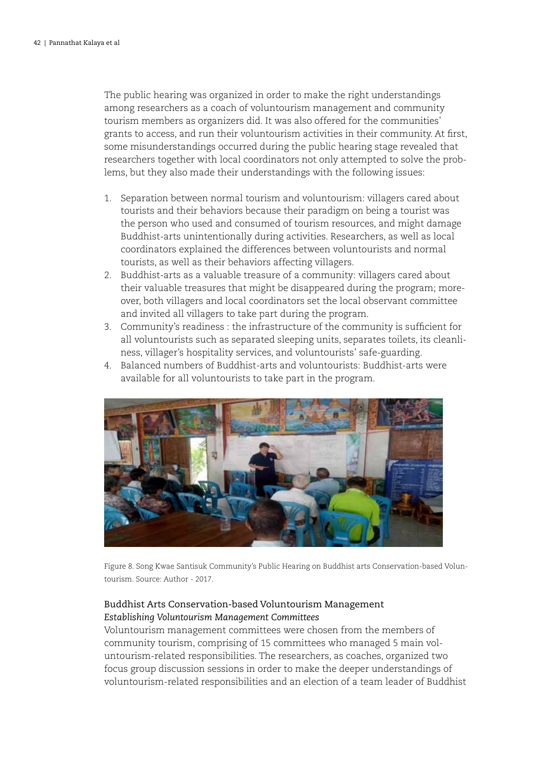The public hearing was organized in order to make the right understandings among researchers as a coach of voluntourism management and community tourism members as organizers did. It was also offered for the communities' grants to access, and run their voluntourism activities in their community. At first, some misunderstandings occurred during the public hearing stage revealed that researchers together with local coordinators not only attempted to solve the problems, but they also made their understandings with the following issues:

- 1. Separation between normal tourism and voluntourism: villagers cared about tourists and their behaviors because their paradigm on being a tourist was the person who used and consumed of tourism resources, and might damage Buddhist-arts unintentionally during activities. Researchers, as well as local coordinators explained the differences between voluntourists and normal tourists, as well as their behaviors affecting villagers.
- 2. Buddhist-arts as a valuable treasure of a community: villagers cared about their valuable treasures that might be disappeared during the program; moreover, both villagers and local coordinators set the local observant committee and invited all villagers to take part during the program.
- 3. Community's readiness : the infrastructure of the community is sufficient for all voluntourists such as separated sleeping units, separates toilets, its cleanliness, villager's hospitality services, and voluntourists' safe-guarding.
- 4. Balanced numbers of Buddhist-arts and voluntourists: Buddhist-arts were available for all voluntourists to take part in the program.



Figure 8. Song Kwae Santisuk Community's Public Hearing on Buddhist arts Conservation-based Voluntourism. Source: Author - 2017.

# Buddhist Arts Conservation-based Voluntourism Management *Establishing Voluntourism Management Committees*

Voluntourism management committees were chosen from the members of community tourism, comprising of 15 committees who managed 5 main voluntourism-related responsibilities. The researchers, as coaches, organized two focus group discussion sessions in order to make the deeper understandings of voluntourism-related responsibilities and an election of a team leader of Buddhist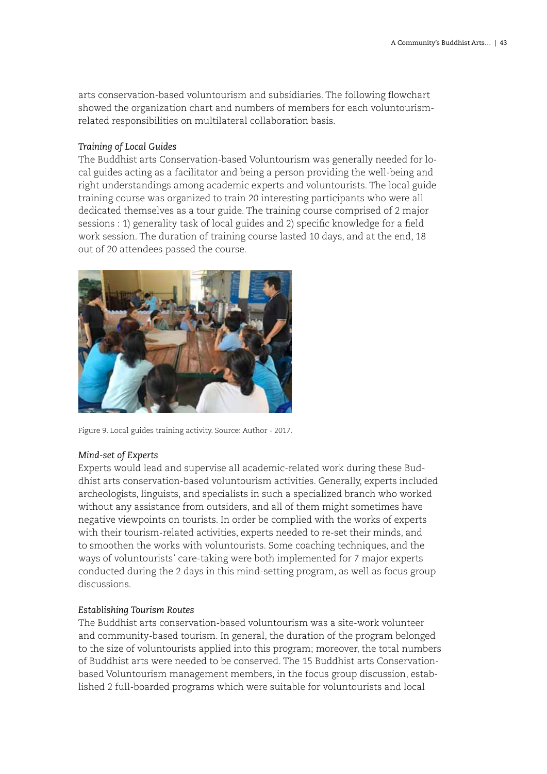arts conservation-based voluntourism and subsidiaries. The following flowchart showed the organization chart and numbers of members for each voluntourismrelated responsibilities on multilateral collaboration basis.

# *Training of Local Guides*

The Buddhist arts Conservation-based Voluntourism was generally needed for local guides acting as a facilitator and being a person providing the well-being and right understandings among academic experts and voluntourists. The local guide training course was organized to train 20 interesting participants who were all dedicated themselves as a tour guide. The training course comprised of 2 major sessions : 1) generality task of local guides and 2) specific knowledge for a field work session. The duration of training course lasted 10 days, and at the end, 18 out of 20 attendees passed the course.



Figure 9. Local guides training activity. Source: Author - 2017.

# *Mind-set of Experts*

Experts would lead and supervise all academic-related work during these Buddhist arts conservation-based voluntourism activities. Generally, experts included archeologists, linguists, and specialists in such a specialized branch who worked without any assistance from outsiders, and all of them might sometimes have negative viewpoints on tourists. In order be complied with the works of experts with their tourism-related activities, experts needed to re-set their minds, and to smoothen the works with voluntourists. Some coaching techniques, and the ways of voluntourists' care-taking were both implemented for 7 major experts conducted during the 2 days in this mind-setting program, as well as focus group discussions.

# *Establishing Tourism Routes*

The Buddhist arts conservation-based voluntourism was a site-work volunteer and community-based tourism. In general, the duration of the program belonged to the size of voluntourists applied into this program; moreover, the total numbers of Buddhist arts were needed to be conserved. The 15 Buddhist arts Conservationbased Voluntourism management members, in the focus group discussion, established 2 full-boarded programs which were suitable for voluntourists and local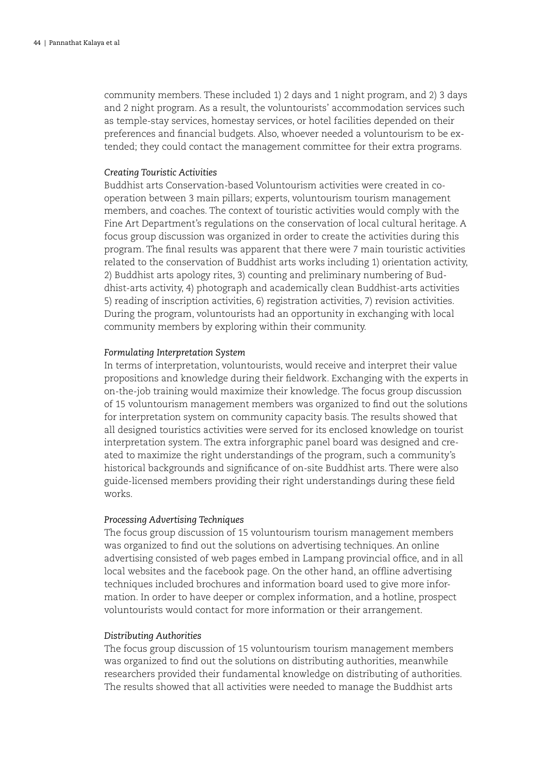community members. These included 1) 2 days and 1 night program, and 2) 3 days and 2 night program. As a result, the voluntourists' accommodation services such as temple-stay services, homestay services, or hotel facilities depended on their preferences and financial budgets. Also, whoever needed a voluntourism to be extended; they could contact the management committee for their extra programs.

#### *Creating Touristic Activities*

Buddhist arts Conservation-based Voluntourism activities were created in cooperation between 3 main pillars; experts, voluntourism tourism management members, and coaches. The context of touristic activities would comply with the Fine Art Department's regulations on the conservation of local cultural heritage. A focus group discussion was organized in order to create the activities during this program. The final results was apparent that there were 7 main touristic activities related to the conservation of Buddhist arts works including 1) orientation activity, 2) Buddhist arts apology rites, 3) counting and preliminary numbering of Buddhist-arts activity, 4) photograph and academically clean Buddhist-arts activities 5) reading of inscription activities, 6) registration activities, 7) revision activities. During the program, voluntourists had an opportunity in exchanging with local community members by exploring within their community.

#### *Formulating Interpretation System*

In terms of interpretation, voluntourists, would receive and interpret their value propositions and knowledge during their fieldwork. Exchanging with the experts in on-the-job training would maximize their knowledge. The focus group discussion of 15 voluntourism management members was organized to find out the solutions for interpretation system on community capacity basis. The results showed that all designed touristics activities were served for its enclosed knowledge on tourist interpretation system. The extra inforgraphic panel board was designed and created to maximize the right understandings of the program, such a community's historical backgrounds and significance of on-site Buddhist arts. There were also guide-licensed members providing their right understandings during these field works.

#### *Processing Advertising Techniques*

The focus group discussion of 15 voluntourism tourism management members was organized to find out the solutions on advertising techniques. An online advertising consisted of web pages embed in Lampang provincial office, and in all local websites and the facebook page. On the other hand, an offline advertising techniques included brochures and information board used to give more information. In order to have deeper or complex information, and a hotline, prospect voluntourists would contact for more information or their arrangement.

#### *Distributing Authorities*

The focus group discussion of 15 voluntourism tourism management members was organized to find out the solutions on distributing authorities, meanwhile researchers provided their fundamental knowledge on distributing of authorities. The results showed that all activities were needed to manage the Buddhist arts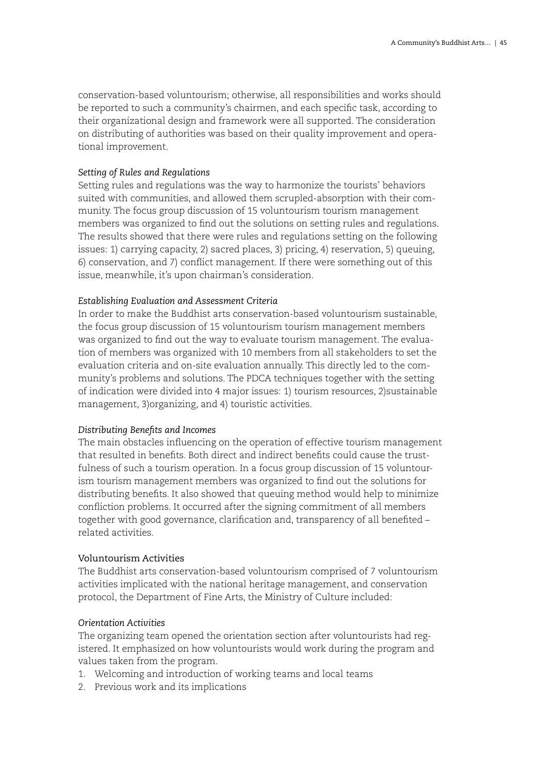conservation-based voluntourism; otherwise, all responsibilities and works should be reported to such a community's chairmen, and each specific task, according to their organizational design and framework were all supported. The consideration on distributing of authorities was based on their quality improvement and operational improvement.

# *Setting of Rules and Regulations*

Setting rules and regulations was the way to harmonize the tourists' behaviors suited with communities, and allowed them scrupled-absorption with their community. The focus group discussion of 15 voluntourism tourism management members was organized to find out the solutions on setting rules and regulations. The results showed that there were rules and regulations setting on the following issues: 1) carrying capacity, 2) sacred places, 3) pricing, 4) reservation, 5) queuing, 6) conservation, and 7) conflict management. If there were something out of this issue, meanwhile, it's upon chairman's consideration.

# *Establishing Evaluation and Assessment Criteria*

In order to make the Buddhist arts conservation-based voluntourism sustainable, the focus group discussion of 15 voluntourism tourism management members was organized to find out the way to evaluate tourism management. The evaluation of members was organized with 10 members from all stakeholders to set the evaluation criteria and on-site evaluation annually. This directly led to the community's problems and solutions. The PDCA techniques together with the setting of indication were divided into 4 major issues: 1) tourism resources, 2)sustainable management, 3)organizing, and 4) touristic activities.

# *Distributing Benefits and Incomes*

The main obstacles influencing on the operation of effective tourism management that resulted in benefits. Both direct and indirect benefits could cause the trustfulness of such a tourism operation. In a focus group discussion of 15 voluntourism tourism management members was organized to find out the solutions for distributing benefits. It also showed that queuing method would help to minimize confliction problems. It occurred after the signing commitment of all members together with good governance, clarification and, transparency of all benefited – related activities.

# Voluntourism Activities

The Buddhist arts conservation-based voluntourism comprised of 7 voluntourism activities implicated with the national heritage management, and conservation protocol, the Department of Fine Arts, the Ministry of Culture included:

# *Orientation Activities*

The organizing team opened the orientation section after voluntourists had registered. It emphasized on how voluntourists would work during the program and values taken from the program.

- 1. Welcoming and introduction of working teams and local teams
- 2. Previous work and its implications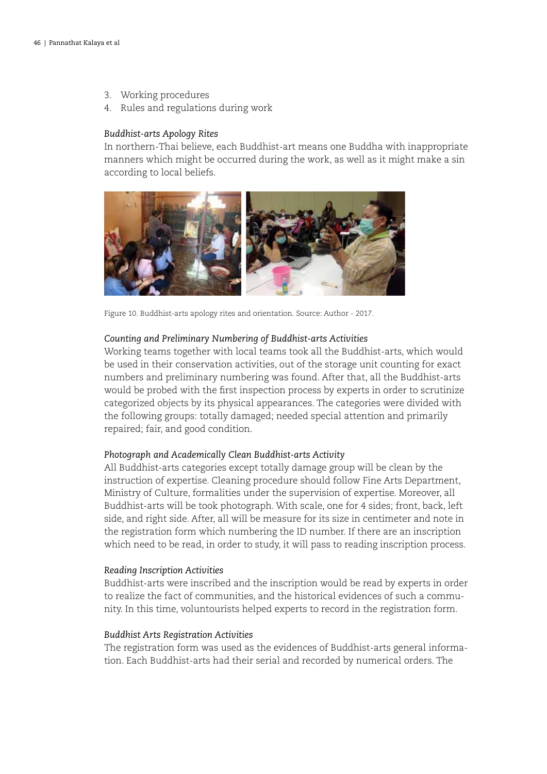- 3. Working procedures
- 4. Rules and regulations during work

#### *Buddhist-arts Apology Rites*

In northern-Thai believe, each Buddhist-art means one Buddha with inappropriate manners which might be occurred during the work, as well as it might make a sin according to local beliefs.



Figure 10. Buddhist-arts apology rites and orientation. Source: Author - 2017.

#### *Counting and Preliminary Numbering of Buddhist-arts Activities*

Working teams together with local teams took all the Buddhist-arts, which would be used in their conservation activities, out of the storage unit counting for exact numbers and preliminary numbering was found. After that, all the Buddhist-arts would be probed with the first inspection process by experts in order to scrutinize categorized objects by its physical appearances. The categories were divided with the following groups: totally damaged; needed special attention and primarily repaired; fair, and good condition.

#### *Photograph and Academically Clean Buddhist-arts Activity*

All Buddhist-arts categories except totally damage group will be clean by the instruction of expertise. Cleaning procedure should follow Fine Arts Department, Ministry of Culture, formalities under the supervision of expertise. Moreover, all Buddhist-arts will be took photograph. With scale, one for 4 sides; front, back, left side, and right side. After, all will be measure for its size in centimeter and note in the registration form which numbering the ID number. If there are an inscription which need to be read, in order to study, it will pass to reading inscription process.

#### *Reading Inscription Activities*

Buddhist-arts were inscribed and the inscription would be read by experts in order to realize the fact of communities, and the historical evidences of such a community. In this time, voluntourists helped experts to record in the registration form.

#### *Buddhist Arts Registration Activities*

The registration form was used as the evidences of Buddhist-arts general information. Each Buddhist-arts had their serial and recorded by numerical orders. The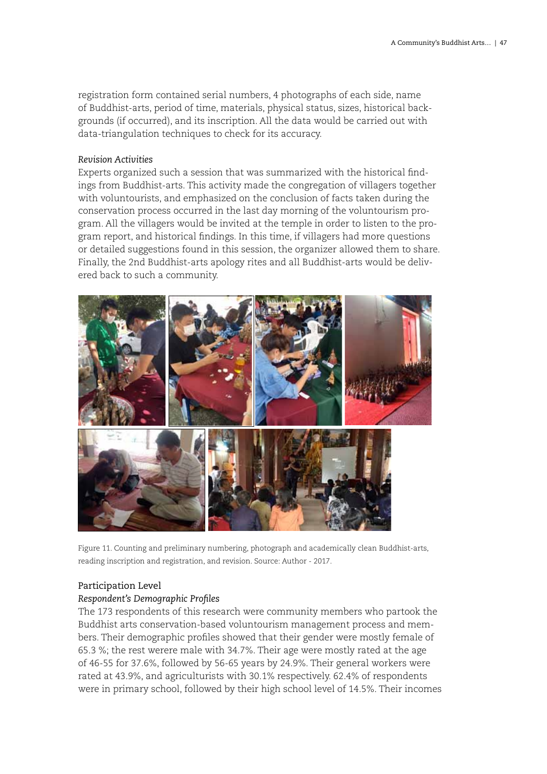registration form contained serial numbers, 4 photographs of each side, name of Buddhist-arts, period of time, materials, physical status, sizes, historical backgrounds (if occurred), and its inscription. All the data would be carried out with data-triangulation techniques to check for its accuracy.

# *Revision Activities*

Experts organized such a session that was summarized with the historical findings from Buddhist-arts. This activity made the congregation of villagers together with voluntourists, and emphasized on the conclusion of facts taken during the conservation process occurred in the last day morning of the voluntourism program. All the villagers would be invited at the temple in order to listen to the program report, and historical findings. In this time, if villagers had more questions or detailed suggestions found in this session, the organizer allowed them to share. Finally, the 2nd Buddhist-arts apology rites and all Buddhist-arts would be delivered back to such a community.



Figure 11. Counting and preliminary numbering, photograph and academically clean Buddhist-arts, reading inscription and registration, and revision. Source: Author - 2017.

# Participation Level

# *Respondent's Demographic Profiles*

The 173 respondents of this research were community members who partook the Buddhist arts conservation-based voluntourism management process and members. Their demographic profiles showed that their gender were mostly female of 65.3 %; the rest werere male with 34.7%. Their age were mostly rated at the age of 46-55 for 37.6%, followed by 56-65 years by 24.9%. Their general workers were rated at 43.9%, and agriculturists with 30.1% respectively. 62.4% of respondents were in primary school, followed by their high school level of 14.5%. Their incomes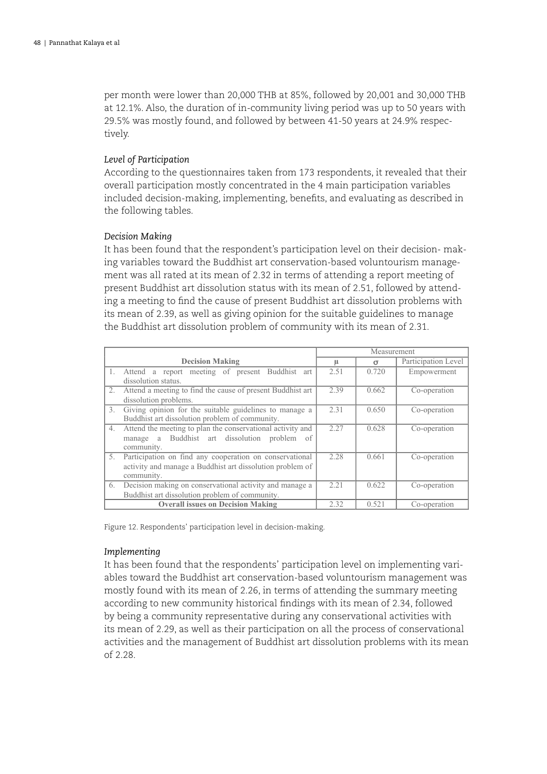per month were lower than 20,000 THB at 85%, followed by 20,001 and 30,000 THB at 12.1%. Also, the duration of in-community living period was up to 50 years with 29.5% was mostly found, and followed by between 41-50 years at 24.9% respectively.

# *Level of Participation*

According to the questionnaires taken from 173 respondents, it revealed that their overall participation mostly concentrated in the 4 main participation variables included decision-making, implementing, benefits, and evaluating as described in the following tables.

# *Decision Making*

It has been found that the respondent's participation level on their decision- making variables toward the Buddhist art conservation-based voluntourism management was all rated at its mean of 2.32 in terms of attending a report meeting of present Buddhist art dissolution status with its mean of 2.51, followed by attending a meeting to find the cause of present Buddhist art dissolution problems with its mean of 2.39, as well as giving opinion for the suitable guidelines to manage the Buddhist art dissolution problem of community with its mean of 2.31.

|                        |                                                                                                                                    | Measurement |          |                     |
|------------------------|------------------------------------------------------------------------------------------------------------------------------------|-------------|----------|---------------------|
| <b>Decision Making</b> |                                                                                                                                    | μ           | $\sigma$ | Participation Level |
| 1.                     | Attend a report meeting of present Buddhist art<br>dissolution status.                                                             | 2.51        | 0.720    | Empowerment         |
| 2.                     | Attend a meeting to find the cause of present Buddhist art<br>dissolution problems.                                                | 2.39        | 0.662    | Co-operation        |
| 3.                     | Giving opinion for the suitable guidelines to manage a<br>Buddhist art dissolution problem of community.                           | 2.31        | 0.650    | Co-operation        |
| 4.                     | Attend the meeting to plan the conservational activity and<br>manage a Buddhist art dissolution<br>problem<br>- of<br>community.   | 2.27        | 0.628    | Co-operation        |
| 5.                     | Participation on find any cooperation on conservational<br>activity and manage a Buddhist art dissolution problem of<br>community. | 2.28        | 0.661    | Co-operation        |
| 6.                     | Decision making on conservational activity and manage a<br>Buddhist art dissolution problem of community.                          | 2.21        | 0.622    | Co-operation        |
|                        | <b>Overall issues on Decision Making</b>                                                                                           | 2.32        | 0.521    | Co-operation        |

Figure 12. Respondents' participation level in decision-making.

# *Implementing*

It has been found that the respondents' participation level on implementing variables toward the Buddhist art conservation-based voluntourism management was mostly found with its mean of 2.26, in terms of attending the summary meeting according to new community historical findings with its mean of 2.34, followed by being a community representative during any conservational activities with its mean of 2.29, as well as their participation on all the process of conservational activities and the management of Buddhist art dissolution problems with its mean of 2.28.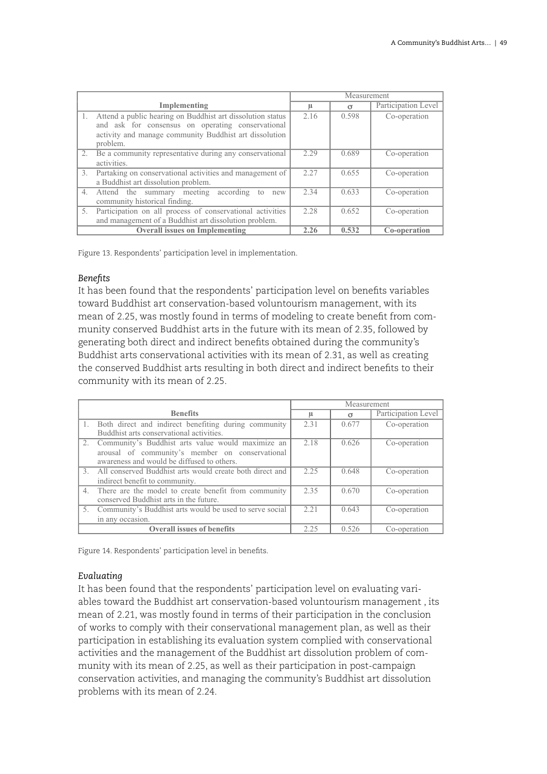|    |                                                                                                 | Measurement |          |                     |
|----|-------------------------------------------------------------------------------------------------|-------------|----------|---------------------|
|    | Implementing                                                                                    | μ           | $\sigma$ | Participation Level |
| 1. | Attend a public hearing on Buddhist art dissolution status                                      | 2.16        | 0.598    | Co-operation        |
|    | and ask for consensus on operating conservational                                               |             |          |                     |
|    | activity and manage community Buddhist art dissolution                                          |             |          |                     |
|    | problem.                                                                                        |             |          |                     |
| 2. | Be a community representative during any conservational                                         | 2.29        | 0.689    | Co-operation        |
|    | activities.                                                                                     |             |          |                     |
| 3. | Partaking on conservational activities and management of<br>a Buddhist art dissolution problem. | 2.27        | 0.655    | Co-operation        |
| 4. | Attend the summary meeting according<br>to<br>new                                               | 2.34        | 0.633    | Co-operation        |
|    | community historical finding.                                                                   |             |          |                     |
| 5. | Participation on all process of conservational activities                                       | 2.28        | 0.652    | Co-operation        |
|    | and management of a Buddhist art dissolution problem.                                           |             |          |                     |
|    | <b>Overall issues on Implementing</b>                                                           | 2.26        | 0.532    | Co-operation        |

Figure 13. Respondents' participation level in implementation.

## *Benefits*

It has been found that the respondents' participation level on benefits variables toward Buddhist art conservation-based voluntourism management, with its mean of 2.25, was mostly found in terms of modeling to create benefit from community conserved Buddhist arts in the future with its mean of 2.35, followed by generating both direct and indirect benefits obtained during the community's Buddhist arts conservational activities with its mean of 2.31, as well as creating the conserved Buddhist arts resulting in both direct and indirect benefits to their community with its mean of 2.25.

|             |                                                             | Measurement |          |                     |
|-------------|-------------------------------------------------------------|-------------|----------|---------------------|
|             | <b>Benefits</b>                                             | ш           | $\sigma$ | Participation Level |
| $\cdot$ 1.  | Both direct and indirect benefiting during community        | 2.31        | 0.677    | Co-operation        |
|             | Buddhist arts conservational activities.                    |             |          |                     |
| 2.          | Community's Buddhist arts value would maximize an           | 2.18        | 0.626    | Co-operation        |
|             | arousal of community's member on conservational             |             |          |                     |
|             | awareness and would be diffused to others.                  |             |          |                     |
|             | 3. All conserved Buddhist arts would create both direct and | 2.25        | 0.648    | Co-operation        |
|             | indirect benefit to community.                              |             |          |                     |
| $4_{\cdot}$ | There are the model to create benefit from community        | 2.35        | 0.670    | Co-operation        |
|             | conserved Buddhist arts in the future.                      |             |          |                     |
|             | 5. Community's Buddhist arts would be used to serve social  | 2.21        | 0.643    | Co-operation        |
|             | in any occasion.                                            |             |          |                     |
|             | <b>Overall issues of benefits</b>                           | 2.25        | 0.526    | Co-operation        |

Figure 14. Respondents' participation level in benefits.

# *Evaluating*

It has been found that the respondents' participation level on evaluating variables toward the Buddhist art conservation-based voluntourism management , its mean of 2.21, was mostly found in terms of their participation in the conclusion of works to comply with their conservational management plan, as well as their participation in establishing its evaluation system complied with conservational activities and the management of the Buddhist art dissolution problem of community with its mean of 2.25, as well as their participation in post-campaign conservation activities, and managing the community's Buddhist art dissolution problems with its mean of 2.24.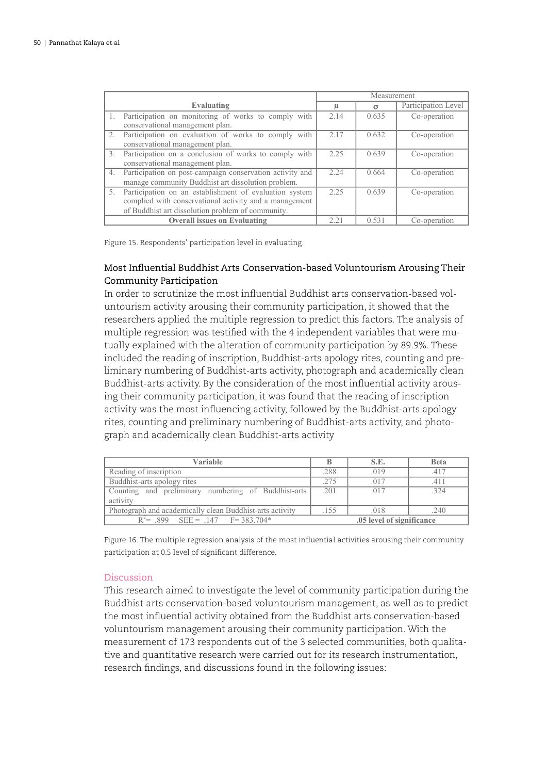|    |                                                                                                                                                                       | Measurement |       |                     |
|----|-----------------------------------------------------------------------------------------------------------------------------------------------------------------------|-------------|-------|---------------------|
|    | Evaluating                                                                                                                                                            | μ           | σ     | Participation Level |
|    | Participation on monitoring of works to comply with<br>conservational management plan.                                                                                | 2.14        | 0.635 | Co-operation        |
| 2. | Participation on evaluation of works to comply with<br>conservational management plan.                                                                                | 2.17        | 0.632 | Co-operation        |
| 3. | Participation on a conclusion of works to comply with<br>conservational management plan.                                                                              | 2.25        | 0.639 | Co-operation        |
| 4. | Participation on post-campaign conservation activity and<br>manage community Buddhist art dissolution problem.                                                        | 2.24        | 0.664 | Co-operation        |
| 5. | Participation on an establishment of evaluation system<br>complied with conservational activity and a management<br>of Buddhist art dissolution problem of community. | 2.25        | 0.639 | Co-operation        |
|    | <b>Overall issues on Evaluating</b>                                                                                                                                   | 2.21        | 0.531 | Co-operation        |

Figure 15. Respondents' participation level in evaluating.

# Most Influential Buddhist Arts Conservation-based Voluntourism Arousing Their Community Participation

In order to scrutinize the most influential Buddhist arts conservation-based voluntourism activity arousing their community participation, it showed that the researchers applied the multiple regression to predict this factors. The analysis of multiple regression was testified with the 4 independent variables that were mutually explained with the alteration of community participation by 89.9%. These included the reading of inscription, Buddhist-arts apology rites, counting and preliminary numbering of Buddhist-arts activity, photograph and academically clean Buddhist-arts activity. By the consideration of the most influential activity arousing their community participation, it was found that the reading of inscription activity was the most influencing activity, followed by the Buddhist-arts apology rites, counting and preliminary numbering of Buddhist-arts activity, and photograph and academically clean Buddhist-arts activity

| Variable                                                 |                           | S.E. | <b>Beta</b> |
|----------------------------------------------------------|---------------------------|------|-------------|
| Reading of inscription                                   | .288                      | .019 | .417        |
| Buddhist-arts apology rites                              | .275                      | .017 | .411        |
| Counting and preliminary numbering of Buddhist-arts      | .201                      | .017 | 32.4        |
| activity                                                 |                           |      |             |
| Photograph and academically clean Buddhist-arts activity |                           | .018 | .240        |
| $R^2$ = 899 SEE = 147 F = 383.704*                       | .05 level of significance |      |             |

Figure 16. The multiple regression analysis of the most influential activities arousing their community participation at 0.5 level of significant difference.

# Discussion

This research aimed to investigate the level of community participation during the Buddhist arts conservation-based voluntourism management, as well as to predict the most influential activity obtained from the Buddhist arts conservation-based voluntourism management arousing their community participation. With the measurement of 173 respondents out of the 3 selected communities, both qualitative and quantitative research were carried out for its research instrumentation, research findings, and discussions found in the following issues: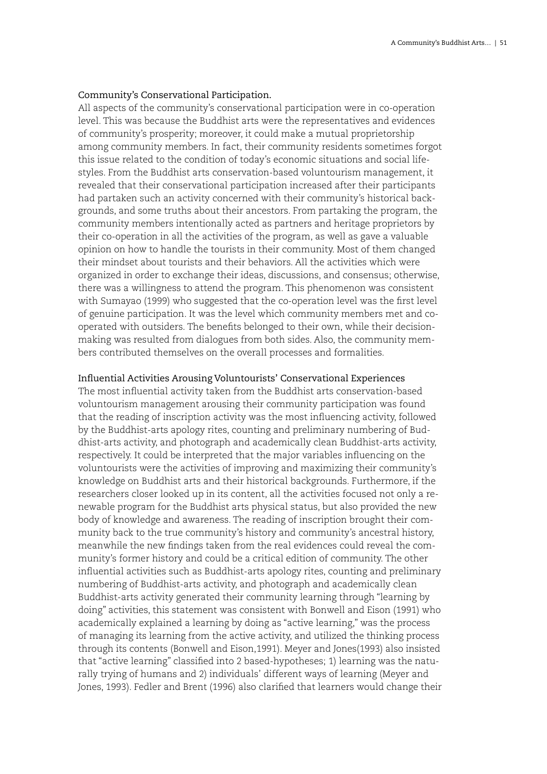# Community's Conservational Participation.

All aspects of the community's conservational participation were in co-operation level. This was because the Buddhist arts were the representatives and evidences of community's prosperity; moreover, it could make a mutual proprietorship among community members. In fact, their community residents sometimes forgot this issue related to the condition of today's economic situations and social lifestyles. From the Buddhist arts conservation-based voluntourism management, it revealed that their conservational participation increased after their participants had partaken such an activity concerned with their community's historical backgrounds, and some truths about their ancestors. From partaking the program, the community members intentionally acted as partners and heritage proprietors by their co-operation in all the activities of the program, as well as gave a valuable opinion on how to handle the tourists in their community. Most of them changed their mindset about tourists and their behaviors. All the activities which were organized in order to exchange their ideas, discussions, and consensus; otherwise, there was a willingness to attend the program. This phenomenon was consistent with Sumayao (1999) who suggested that the co-operation level was the first level of genuine participation. It was the level which community members met and cooperated with outsiders. The benefits belonged to their own, while their decisionmaking was resulted from dialogues from both sides. Also, the community members contributed themselves on the overall processes and formalities.

#### Influential Activities Arousing Voluntourists' Conservational Experiences

The most influential activity taken from the Buddhist arts conservation-based voluntourism management arousing their community participation was found that the reading of inscription activity was the most influencing activity, followed by the Buddhist-arts apology rites, counting and preliminary numbering of Buddhist-arts activity, and photograph and academically clean Buddhist-arts activity, respectively. It could be interpreted that the major variables influencing on the voluntourists were the activities of improving and maximizing their community's knowledge on Buddhist arts and their historical backgrounds. Furthermore, if the researchers closer looked up in its content, all the activities focused not only a renewable program for the Buddhist arts physical status, but also provided the new body of knowledge and awareness. The reading of inscription brought their community back to the true community's history and community's ancestral history, meanwhile the new findings taken from the real evidences could reveal the community's former history and could be a critical edition of community. The other influential activities such as Buddhist-arts apology rites, counting and preliminary numbering of Buddhist-arts activity, and photograph and academically clean Buddhist-arts activity generated their community learning through "learning by doing" activities, this statement was consistent with Bonwell and Eison (1991) who academically explained a learning by doing as "active learning," was the process of managing its learning from the active activity, and utilized the thinking process through its contents (Bonwell and Eison,1991). Meyer and Jones(1993) also insisted that "active learning" classified into 2 based-hypotheses; 1) learning was the naturally trying of humans and 2) individuals' different ways of learning (Meyer and Jones, 1993). Fedler and Brent (1996) also clarified that learners would change their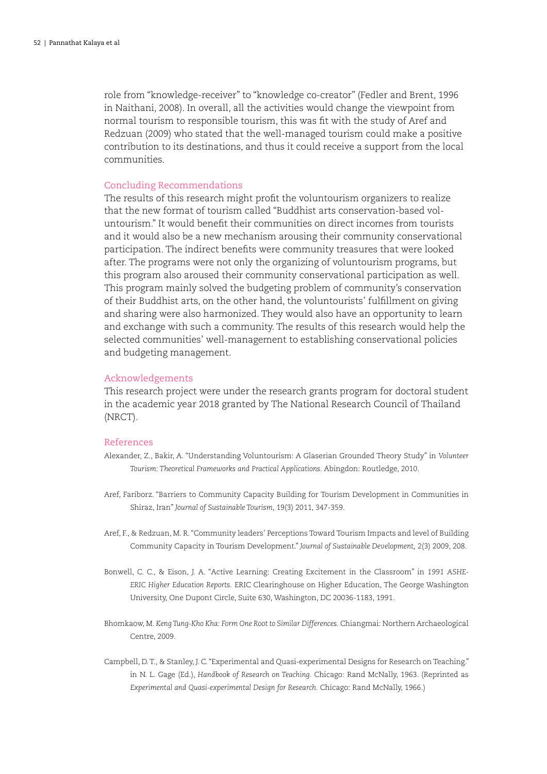role from "knowledge-receiver" to "knowledge co-creator" (Fedler and Brent, 1996 in Naithani, 2008). In overall, all the activities would change the viewpoint from normal tourism to responsible tourism, this was fit with the study of Aref and Redzuan (2009) who stated that the well-managed tourism could make a positive contribution to its destinations, and thus it could receive a support from the local communities.

#### Concluding Recommendations

The results of this research might profit the voluntourism organizers to realize that the new format of tourism called "Buddhist arts conservation-based voluntourism." It would benefit their communities on direct incomes from tourists and it would also be a new mechanism arousing their community conservational participation. The indirect benefits were community treasures that were looked after. The programs were not only the organizing of voluntourism programs, but this program also aroused their community conservational participation as well. This program mainly solved the budgeting problem of community's conservation of their Buddhist arts, on the other hand, the voluntourists' fulfillment on giving and sharing were also harmonized. They would also have an opportunity to learn and exchange with such a community. The results of this research would help the selected communities' well-management to establishing conservational policies and budgeting management.

#### Acknowledgements

This research project were under the research grants program for doctoral student in the academic year 2018 granted by The National Research Council of Thailand (NRCT).

# References

- Alexander, Z., Bakir, A. "Understanding Voluntourism: A Glaserian Grounded Theory Study" in *Volunteer Tourism: Theoretical Frameworks and Practical Applications.* Abingdon: Routledge, 2010.
- Aref, Fariborz. "Barriers to Community Capacity Building for Tourism Development in Communities in Shiraz, Iran" *Journal of Sustainable Tourism,* 19(3) 2011, 347-359.
- Aref, F., & Redzuan, M. R. "Community leaders' Perceptions Toward Tourism Impacts and level of Building Community Capacity in Tourism Development." *Journal of Sustainable Development,* 2(3) 2009, 208.
- Bonwell, C. C., & Eison, J. A. "Active Learning: Creating Excitement in the Classroom" in *1991 ASHE-ERIC Higher Education Reports.* ERIC Clearinghouse on Higher Education, The George Washington University, One Dupont Circle, Suite 630, Washington, DC 20036-1183, 1991.
- Bhomkaow, M. *Keng Tung-Kho Kha: Form One Root to Similar Differences.* Chiangmai: Northern Archaeological Centre, 2009.
- Campbell, D. T., & Stanley, J. C. "Experimental and Quasi-experimental Designs for Research on Teaching." in N. L. Gage (Ed.), *Handbook of Research on Teaching.* Chicago: Rand McNally, 1963. (Reprinted as *Experimental and Quasi-experimental Design for Research.* Chicago: Rand McNally, 1966.)